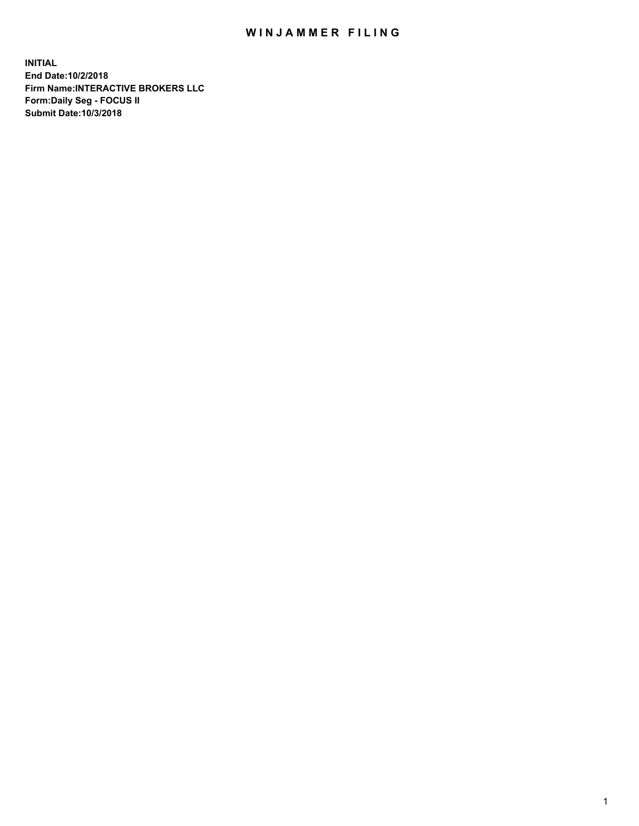## WIN JAMMER FILING

**INITIAL End Date:10/2/2018 Firm Name:INTERACTIVE BROKERS LLC Form:Daily Seg - FOCUS II Submit Date:10/3/2018**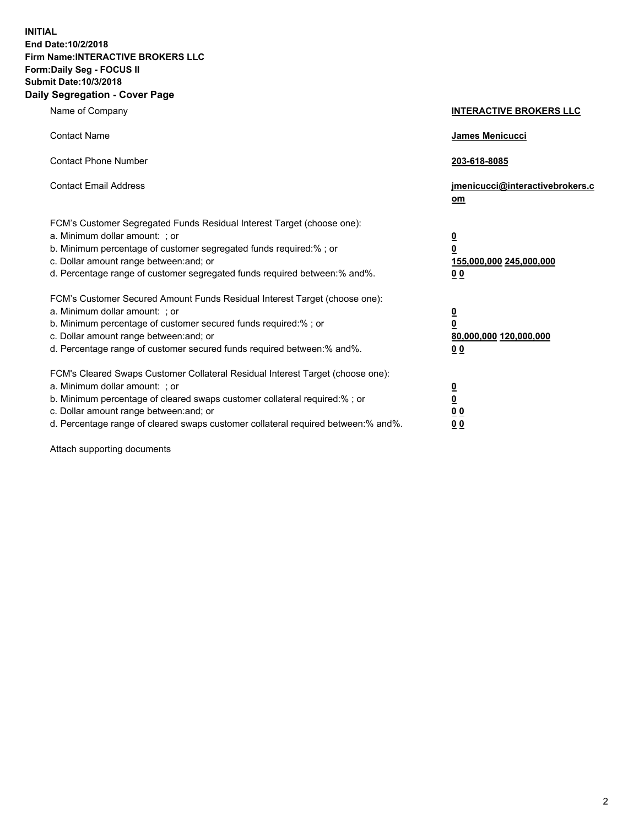**INITIAL End Date:10/2/2018 Firm Name:INTERACTIVE BROKERS LLC Form:Daily Seg - FOCUS II Submit Date:10/3/2018 Daily Segregation - Cover Page**

| Name of Company                                                                                                                                                                                                                                                                                                                | <b>INTERACTIVE BROKERS LLC</b>                                                                  |
|--------------------------------------------------------------------------------------------------------------------------------------------------------------------------------------------------------------------------------------------------------------------------------------------------------------------------------|-------------------------------------------------------------------------------------------------|
| <b>Contact Name</b>                                                                                                                                                                                                                                                                                                            | James Menicucci                                                                                 |
| <b>Contact Phone Number</b>                                                                                                                                                                                                                                                                                                    | 203-618-8085                                                                                    |
| <b>Contact Email Address</b>                                                                                                                                                                                                                                                                                                   | jmenicucci@interactivebrokers.c<br>om                                                           |
| FCM's Customer Segregated Funds Residual Interest Target (choose one):<br>a. Minimum dollar amount: ; or<br>b. Minimum percentage of customer segregated funds required:% ; or<br>c. Dollar amount range between: and; or<br>d. Percentage range of customer segregated funds required between:% and%.                         | $\overline{\mathbf{0}}$<br>$\overline{\mathbf{0}}$<br>155,000,000 245,000,000<br>0 <sub>0</sub> |
| FCM's Customer Secured Amount Funds Residual Interest Target (choose one):<br>a. Minimum dollar amount: ; or<br>b. Minimum percentage of customer secured funds required:% ; or<br>c. Dollar amount range between: and; or<br>d. Percentage range of customer secured funds required between:% and%.                           | $\overline{\mathbf{0}}$<br>0<br>80,000,000 120,000,000<br>0 <sub>0</sub>                        |
| FCM's Cleared Swaps Customer Collateral Residual Interest Target (choose one):<br>a. Minimum dollar amount: ; or<br>b. Minimum percentage of cleared swaps customer collateral required:% ; or<br>c. Dollar amount range between: and; or<br>d. Percentage range of cleared swaps customer collateral required between:% and%. | $\overline{\mathbf{0}}$<br><u>0</u><br>$\underline{0}$ $\underline{0}$<br>00                    |

Attach supporting documents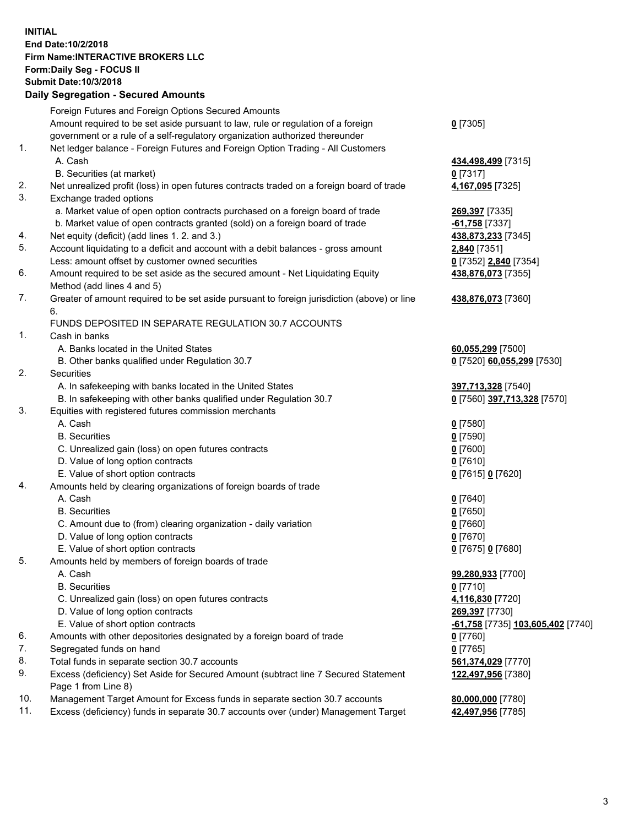## **INITIAL End Date:10/2/2018 Firm Name:INTERACTIVE BROKERS LLC Form:Daily Seg - FOCUS II Submit Date:10/3/2018 Daily Segregation - Secured Amounts**

|     | Daily Segregation - Secured Aniounts                                                                    |                                   |
|-----|---------------------------------------------------------------------------------------------------------|-----------------------------------|
|     | Foreign Futures and Foreign Options Secured Amounts                                                     |                                   |
|     | Amount required to be set aside pursuant to law, rule or regulation of a foreign                        | $0$ [7305]                        |
|     | government or a rule of a self-regulatory organization authorized thereunder                            |                                   |
| 1.  | Net ledger balance - Foreign Futures and Foreign Option Trading - All Customers                         |                                   |
|     | A. Cash                                                                                                 | 434,498,499 [7315]                |
|     | B. Securities (at market)                                                                               | $0$ [7317]                        |
| 2.  | Net unrealized profit (loss) in open futures contracts traded on a foreign board of trade               | 4,167,095 [7325]                  |
| 3.  | Exchange traded options                                                                                 |                                   |
|     | a. Market value of open option contracts purchased on a foreign board of trade                          | 269,397 [7335]                    |
|     | b. Market value of open contracts granted (sold) on a foreign board of trade                            | $-61,758$ [7337]                  |
| 4.  | Net equity (deficit) (add lines 1.2. and 3.)                                                            | 438,873,233 [7345]                |
| 5.  | Account liquidating to a deficit and account with a debit balances - gross amount                       | 2,840 [7351]                      |
|     | Less: amount offset by customer owned securities                                                        | 0 [7352] 2,840 [7354]             |
| 6.  | Amount required to be set aside as the secured amount - Net Liquidating Equity                          | 438,876,073 [7355]                |
|     | Method (add lines 4 and 5)                                                                              |                                   |
| 7.  | Greater of amount required to be set aside pursuant to foreign jurisdiction (above) or line             | 438,876,073 [7360]                |
|     | 6.                                                                                                      |                                   |
|     | FUNDS DEPOSITED IN SEPARATE REGULATION 30.7 ACCOUNTS                                                    |                                   |
| 1.  | Cash in banks                                                                                           |                                   |
|     | A. Banks located in the United States                                                                   | 60,055,299 [7500]                 |
|     | B. Other banks qualified under Regulation 30.7                                                          | 0 [7520] 60,055,299 [7530]        |
| 2.  | Securities                                                                                              |                                   |
|     | A. In safekeeping with banks located in the United States                                               | 397,713,328 [7540]                |
|     | B. In safekeeping with other banks qualified under Regulation 30.7                                      | 0 [7560] 397,713,328 [7570]       |
| 3.  | Equities with registered futures commission merchants                                                   |                                   |
|     | A. Cash                                                                                                 | $0$ [7580]                        |
|     | <b>B.</b> Securities                                                                                    | $0$ [7590]                        |
|     | C. Unrealized gain (loss) on open futures contracts                                                     | $0$ [7600]                        |
|     | D. Value of long option contracts                                                                       | $0$ [7610]                        |
| 4.  | E. Value of short option contracts<br>Amounts held by clearing organizations of foreign boards of trade | 0 [7615] 0 [7620]                 |
|     | A. Cash                                                                                                 | $0$ [7640]                        |
|     | <b>B.</b> Securities                                                                                    | $0$ [7650]                        |
|     | C. Amount due to (from) clearing organization - daily variation                                         | $0$ [7660]                        |
|     | D. Value of long option contracts                                                                       | $0$ [7670]                        |
|     | E. Value of short option contracts                                                                      | 0 [7675] 0 [7680]                 |
| 5.  | Amounts held by members of foreign boards of trade                                                      |                                   |
|     | A. Cash                                                                                                 | 99,280,933 [7700]                 |
|     | <b>B.</b> Securities                                                                                    | $0$ [7710]                        |
|     | C. Unrealized gain (loss) on open futures contracts                                                     | 4,116,830 [7720]                  |
|     | D. Value of long option contracts                                                                       | 269,397 [7730]                    |
|     | E. Value of short option contracts                                                                      | -61,758 [7735] 103,605,402 [7740] |
| 6.  | Amounts with other depositories designated by a foreign board of trade                                  | $0$ [7760]                        |
| 7.  | Segregated funds on hand                                                                                | $0$ [7765]                        |
| 8.  | Total funds in separate section 30.7 accounts                                                           | 561,374,029 [7770]                |
| 9.  | Excess (deficiency) Set Aside for Secured Amount (subtract line 7 Secured Statement                     | 122,497,956 [7380]                |
|     | Page 1 from Line 8)                                                                                     |                                   |
| 10. | Management Target Amount for Excess funds in separate section 30.7 accounts                             | 80,000,000 [7780]                 |
| 11. | Excess (deficiency) funds in separate 30.7 accounts over (under) Management Target                      | 42,497,956 [7785]                 |
|     |                                                                                                         |                                   |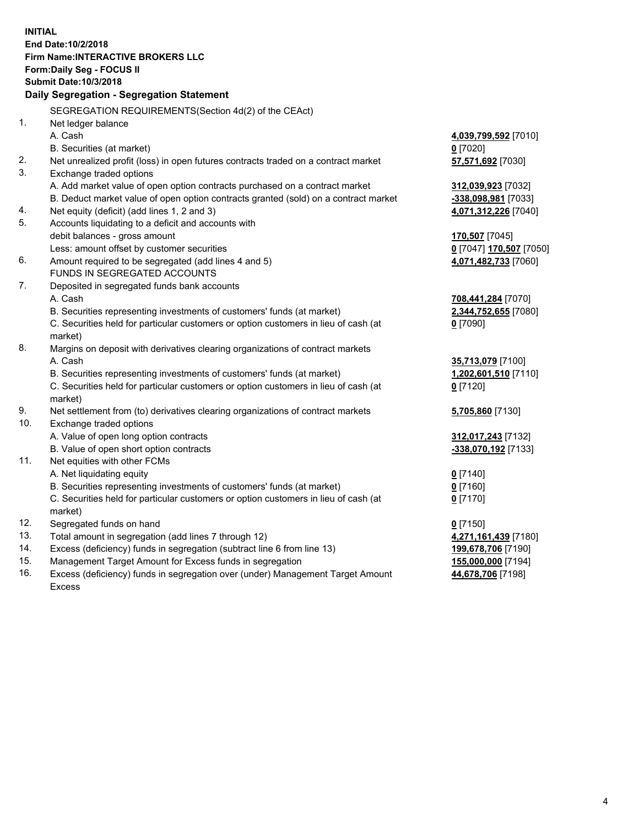**INITIAL End Date:10/2/2018 Firm Name:INTERACTIVE BROKERS LLC Form:Daily Seg - FOCUS II Submit Date:10/3/2018 Daily Segregation - Segregation Statement** SEGREGATION REQUIREMENTS(Section 4d(2) of the CEAct) 1. Net ledger balance A. Cash **4,039,799,592** [7010] B. Securities (at market) **0** [7020] 2. Net unrealized profit (loss) in open futures contracts traded on a contract market **57,571,692** [7030] 3. Exchange traded options A. Add market value of open option contracts purchased on a contract market **312,039,923** [7032] B. Deduct market value of open option contracts granted (sold) on a contract market **-338,098,981** [7033] 4. Net equity (deficit) (add lines 1, 2 and 3) **4,071,312,226** [7040] 5. Accounts liquidating to a deficit and accounts with debit balances - gross amount **170,507** [7045] Less: amount offset by customer securities **0** [7047] **170,507** [7050] 6. Amount required to be segregated (add lines 4 and 5) **4,071,482,733** [7060] FUNDS IN SEGREGATED ACCOUNTS 7. Deposited in segregated funds bank accounts A. Cash **708,441,284** [7070] B. Securities representing investments of customers' funds (at market) **2,344,752,655** [7080] C. Securities held for particular customers or option customers in lieu of cash (at market) **0** [7090] 8. Margins on deposit with derivatives clearing organizations of contract markets A. Cash **35,713,079** [7100] B. Securities representing investments of customers' funds (at market) **1,202,601,510** [7110] C. Securities held for particular customers or option customers in lieu of cash (at market) **0** [7120] 9. Net settlement from (to) derivatives clearing organizations of contract markets **5,705,860** [7130] 10. Exchange traded options A. Value of open long option contracts **312,017,243** [7132] B. Value of open short option contracts **-338,070,192** [7133] 11. Net equities with other FCMs A. Net liquidating equity **0** [7140] B. Securities representing investments of customers' funds (at market) **0** [7160] C. Securities held for particular customers or option customers in lieu of cash (at market) **0** [7170] 12. Segregated funds on hand **0** [7150] 13. Total amount in segregation (add lines 7 through 12) **4,271,161,439** [7180] 14. Excess (deficiency) funds in segregation (subtract line 6 from line 13) **199,678,706** [7190] 15. Management Target Amount for Excess funds in segregation **155,000,000** [7194] **44,678,706** [7198]

16. Excess (deficiency) funds in segregation over (under) Management Target Amount Excess

4